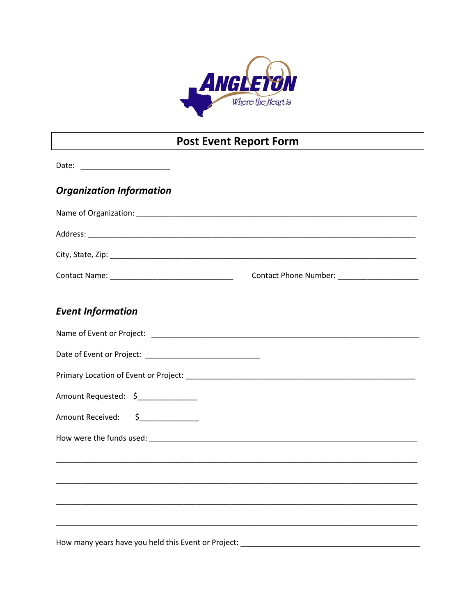

# **Post Event Report Form**

| Date: ________________________                                                   |                                                                                  |  |
|----------------------------------------------------------------------------------|----------------------------------------------------------------------------------|--|
| <b>Organization Information</b>                                                  |                                                                                  |  |
|                                                                                  |                                                                                  |  |
|                                                                                  |                                                                                  |  |
|                                                                                  |                                                                                  |  |
|                                                                                  | Contact Phone Number: ___________________                                        |  |
| <b>Event Information</b>                                                         |                                                                                  |  |
|                                                                                  |                                                                                  |  |
|                                                                                  |                                                                                  |  |
|                                                                                  |                                                                                  |  |
| Amount Requested: \$______________                                               |                                                                                  |  |
| Amount Received: \$_____________                                                 |                                                                                  |  |
|                                                                                  |                                                                                  |  |
| ,我们也不能在这里的时候,我们也不能在这里的时候,我们也不能会在这里,我们也不能会在这里的时候,我们也不能会在这里的时候,我们也不能会在这里的时候,我们也不能会 |                                                                                  |  |
|                                                                                  |                                                                                  |  |
|                                                                                  | ,我们也不能在这里的时候,我们也不能在这里的时候,我们也不能会在这里的时候,我们也不能会在这里的时候,我们也不能会在这里的时候,我们也不能会在这里的时候,我们也 |  |
|                                                                                  |                                                                                  |  |
| How many years have you held this Event or Project:                              |                                                                                  |  |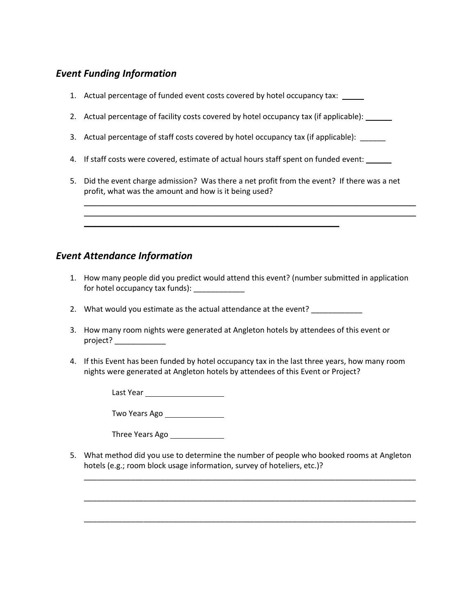## *Event Funding Information*

- 1. Actual percentage of funded event costs covered by hotel occupancy tax:
- 2. Actual percentage of facility costs covered by hotel occupancy tax (if applicable):
- 3. Actual percentage of staff costs covered by hotel occupancy tax (if applicable):
- 4. If staff costs were covered, estimate of actual hours staff spent on funded event:
- 5. Did the event charge admission? Was there a net profit from the event? If there was a net profit, what was the amount and how is it being used?

\_\_\_\_\_\_\_\_\_\_\_\_\_\_\_\_\_\_\_\_\_\_\_\_\_\_\_\_\_\_\_\_\_\_\_\_\_\_\_\_\_\_\_\_\_\_\_\_\_\_\_\_\_\_\_\_\_\_\_\_\_\_\_\_\_\_\_\_\_\_\_\_\_\_\_\_\_\_ \_\_\_\_\_\_\_\_\_\_\_\_\_\_\_\_\_\_\_\_\_\_\_\_\_\_\_\_\_\_\_\_\_\_\_\_\_\_\_\_\_\_\_\_\_\_\_\_\_\_\_\_\_\_\_\_\_\_\_\_\_\_\_\_\_\_\_\_\_\_\_\_\_\_\_\_\_\_

#### *Event Attendance Information*

- 1. How many people did you predict would attend this event? (number submitted in application for hotel occupancy tax funds): \_\_\_\_\_\_\_\_\_\_\_\_
- 2. What would you estimate as the actual attendance at the event? \_\_\_\_\_\_\_\_\_\_\_\_\_\_

\_\_\_\_\_\_\_\_\_\_\_\_\_\_\_\_\_\_\_\_\_\_\_\_\_\_\_\_\_\_\_\_\_\_\_\_\_\_\_\_\_\_\_\_\_\_\_\_\_\_\_\_\_\_\_\_\_\_\_\_

- 3. How many room nights were generated at Angleton hotels by attendees of this event or project? \_\_\_\_\_\_\_\_\_\_\_\_
- 4. If this Event has been funded by hotel occupancy tax in the last three years, how many room nights were generated at Angleton hotels by attendees of this Event or Project?

Last Year

Two Years Ago

Three Years Ago

5. What method did you use to determine the number of people who booked rooms at Angleton hotels (e.g.; room block usage information, survey of hoteliers, etc.)?

\_\_\_\_\_\_\_\_\_\_\_\_\_\_\_\_\_\_\_\_\_\_\_\_\_\_\_\_\_\_\_\_\_\_\_\_\_\_\_\_\_\_\_\_\_\_\_\_\_\_\_\_\_\_\_\_\_\_\_\_\_\_\_\_\_\_\_\_\_\_\_\_\_\_\_\_\_\_

\_\_\_\_\_\_\_\_\_\_\_\_\_\_\_\_\_\_\_\_\_\_\_\_\_\_\_\_\_\_\_\_\_\_\_\_\_\_\_\_\_\_\_\_\_\_\_\_\_\_\_\_\_\_\_\_\_\_\_\_\_\_\_\_\_\_\_\_\_\_\_\_\_\_\_\_\_\_

\_\_\_\_\_\_\_\_\_\_\_\_\_\_\_\_\_\_\_\_\_\_\_\_\_\_\_\_\_\_\_\_\_\_\_\_\_\_\_\_\_\_\_\_\_\_\_\_\_\_\_\_\_\_\_\_\_\_\_\_\_\_\_\_\_\_\_\_\_\_\_\_\_\_\_\_\_\_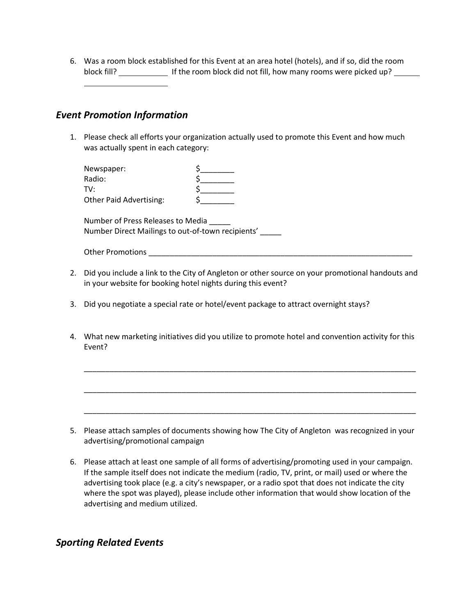6. Was a room block established for this Event at an area hotel (hotels), and if so, did the room block fill? If the room block did not fill, how many rooms were picked up?

#### *Event Promotion Information*

1. Please check all efforts your organization actually used to promote this Event and how much was actually spent in each category:

| Newspaper:                     |  |
|--------------------------------|--|
| Radio:                         |  |
| TV:                            |  |
| <b>Other Paid Advertising:</b> |  |

Number of Press Releases to Media \_\_\_\_\_ Number Direct Mailings to out-of-town recipients' \_\_\_\_\_

Other Promotions \_\_\_\_\_\_\_\_\_\_\_\_\_\_\_\_\_\_\_\_\_\_\_\_\_\_\_\_\_\_\_\_\_\_\_\_\_\_\_\_\_\_\_\_\_\_\_\_\_\_\_\_\_\_\_\_\_\_\_\_\_\_

- 2. Did you include a link to the City of Angleton or other source on your promotional handouts and in your website for booking hotel nights during this event?
- 3. Did you negotiate a special rate or hotel/event package to attract overnight stays?
- 4. What new marketing initiatives did you utilize to promote hotel and convention activity for this Event?

\_\_\_\_\_\_\_\_\_\_\_\_\_\_\_\_\_\_\_\_\_\_\_\_\_\_\_\_\_\_\_\_\_\_\_\_\_\_\_\_\_\_\_\_\_\_\_\_\_\_\_\_\_\_\_\_\_\_\_\_\_\_\_\_\_\_\_\_\_\_\_\_\_\_\_\_\_\_

\_\_\_\_\_\_\_\_\_\_\_\_\_\_\_\_\_\_\_\_\_\_\_\_\_\_\_\_\_\_\_\_\_\_\_\_\_\_\_\_\_\_\_\_\_\_\_\_\_\_\_\_\_\_\_\_\_\_\_\_\_\_\_\_\_\_\_\_\_\_\_\_\_\_\_\_\_\_

\_\_\_\_\_\_\_\_\_\_\_\_\_\_\_\_\_\_\_\_\_\_\_\_\_\_\_\_\_\_\_\_\_\_\_\_\_\_\_\_\_\_\_\_\_\_\_\_\_\_\_\_\_\_\_\_\_\_\_\_\_\_\_\_\_\_\_\_\_\_\_\_\_\_\_\_\_\_

- 5. Please attach samples of documents showing how The City of Angleton was recognized in your advertising/promotional campaign
- 6. Please attach at least one sample of all forms of advertising/promoting used in your campaign. If the sample itself does not indicate the medium (radio, TV, print, or mail) used or where the advertising took place (e.g. a city's newspaper, or a radio spot that does not indicate the city where the spot was played), please include other information that would show location of the advertising and medium utilized.

## *Sporting Related Events*